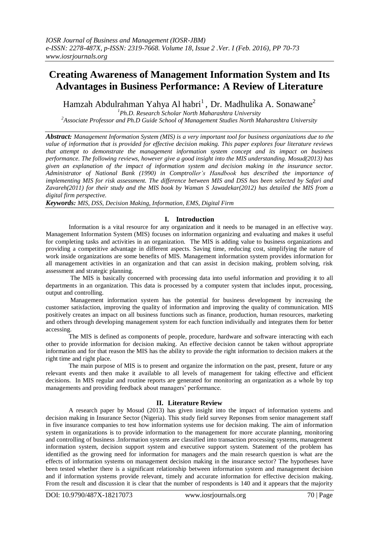# **Creating Awareness of Management Information System and Its Advantages in Business Performance: A Review of Literature**

Hamzah Abdulrahman Yahya Al habri<sup>1</sup>, Dr. Madhulika A. Sonawane<sup>2</sup>

*1 Ph.D. Research Scholar North Maharashtra University*

*2 Associate Professor and Ph.D Guide School of Management Studies North Maharashtra University*

*Abstract: Management Information System (MIS) is a very important tool for business organizations due to the value of information that is provided for effective decision making. This paper explores four literature reviews that attempt to demonstrate the management information system concept and its impact on business performance. The following reviews, however give a good insight into the MIS understanding. Mosud(2013) has given an explanation of the impact of information system and decision making in the insurance sector. Administrator of National Bank (1990) in Comptroller's Handbook has described the importance of implementing MIS for risk assessment. The difference between MIS and DSS has been selected by Safari and Zavareh(2011) for their study and the MIS book by Waman S Jawadekar(2012) has detailed the MIS from a digital firm perspective.*

*Keywords: MIS, DSS, Decision Making, Information, EMS, Digital Firm* 

## **I. Introduction**

Information is a vital resource for any organization and it needs to be managed in an effective way. Management Information System (MIS) focuses on information organizing and evaluating and makes it useful for completing tasks and activities in an organization. The MIS is adding value to business organizations and providing a competitive advantage in different aspects. Saving time, reducing cost, simplifying the nature of work inside organizations are some benefits of MIS. Management information system provides information for all management activities in an organization and that can assist in decision making, problem solving, risk assessment and strategic planning.

The MIS is basically concerned with processing data into useful information and providing it to all departments in an organization. This data is processed by a computer system that includes input, processing, output and controlling.

Management information system has the potential for business development by increasing the customer satisfaction, improving the quality of information and improving the quality of communication. MIS positively creates an impact on all business functions such as finance, production, human resources, marketing and others through developing management system for each function individually and integrates them for better accessing.

The MIS is defined as components of people, procedure, hardware and software interacting with each other to provide information for decision making. An effective decision cannot be taken without appropriate information and for that reason the MIS has the ability to provide the right information to decision makers at the right time and right place.

The main purpose of MIS is to present and organize the information on the past, present, future or any relevant events and then make it available to all levels of management for taking effective and efficient decisions. In MIS regular and routine reports are generated for monitoring an organization as a whole by top managements and providing feedback about managers' performance.

### **II. Literature Review**

A research paper by Mosud (2013) has given insight into the impact of information systems and decision making in Insurance Sector (Nigeria). This study field survey Reponses from senior management staff in five insurance companies to test how information systems use for decision making. The aim of information system in organizations is to provide information to the management for more accurate planning, monitoring and controlling of business .Information systems are classified into transaction processing systems, management information system, decision support system and executive support system. Statement of the problem has identified as the growing need for information for managers and the main research question is what are the effects of information systems on management decision making in the insurance sector? The hypotheses have been tested whether there is a significant relationship between information system and management decision and if information systems provide relevant, timely and accurate information for effective decision making. From the result and discussion it is clear that the number of respondents is 140 and it appears that the majority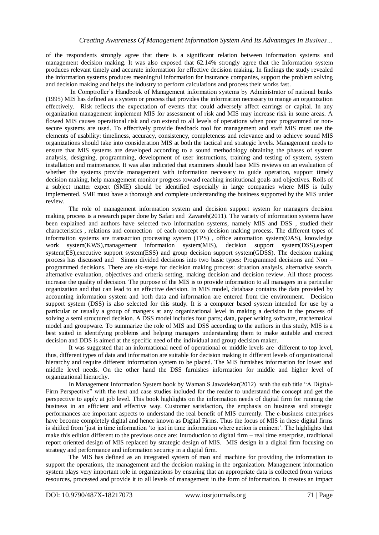of the respondents strongly agree that there is a significant relation between information systems and management decision making. It was also exposed that 62.14% strongly agree that the Information system produces relevant timely and accurate information for effective decision making. In findings the study revealed the information systems produces meaningful information for insurance companies, support the problem solving and decision making and helps the industry to perform calculations and process their works fast.

In Comptroller"s Handbook of Management information systems by Administrator of national banks (1995) MIS has defined as a system or process that provides the information necessary to mange an organization effectively. Risk reflects the expectation of events that could adversely affect earrings or capital. In any organization management implement MIS for assessment of risk and MIS may increase risk in some areas. A flowed MIS causes operational risk and can extend to all levels of operations when poor programmed or nonsecure systems are used. To effectively provide feedback tool for management and staff MIS must use the elements of usability: timeliness, accuracy, consistency, completeness and relevance and to achieve sound MIS organizations should take into consideration MIS at both the tactical and strategic levels. Management needs to ensure that MIS systems are developed according to a sound methodology obtaining the phases of system analysis, designing, programming, development of user instructions, training and testing of system, system installation and maintenance. It was also indicated that examiners should base MIS reviews on an evaluation of whether the systems provide management with information necessary to guide operation, support timely decision making, help management monitor progress toward reaching institutional goals and objectives. Rolls of a subject matter expert (SME) should be identified especially in large companies where MIS is fully implemented. SME must have a thorough and complete understanding the business supported by the MIS under review.

The role of management information system and decision support system for managers decision making process is a research paper done by Safari and Zavareh(2011). The variety of information systems have been explained and authors have selected two information systems, namely MIS and DSS , studied their characteristics , relations and connection of each concept to decision making process. The different types of information systems are transaction processing system (TPS) , office automation system(OAS), knowledge work system(KWS),management information system(MIS), decision support system(DSS),expert system(ES),executive support system(ESS) and group decision support system(GDSS). The decision making process has discussed and Simon divided decisions into two basic types: Programmed decisions and Non – programmed decisions. There are six-steps for decision making process: situation analysis, alternative search, alternative evaluation, objectives and criteria setting, making decision and decision review. All those process increase the quality of decision. The purpose of the MIS is to provide information to all managers in a particular organization and that can lead to an effective decision. In MIS model, database contains the data provided by accounting information system and both data and information are entered from the environment. Decision support system (DSS) is also selected for this study. It is a computer based system intended for use by a particular or usually a group of mangers at any organizational level in making a decision in the process of solving a semi structured decision. A DSS model includes four parts; data, paper writing software, mathematical model and groupware. To summarize the role of MIS and DSS according to the authors in this study, MIS is a best suited in identifying problems and helping managers understanding them to make suitable and correct decision and DDS is aimed at the specific need of the individual and group decision maker.

It was suggested that an informational need of operational or middle levels are different to top level, thus, different types of data and information are suitable for decision making in different levels of organizational hierarchy and require different information system to be placed. The MIS furnishes information for lower and middle level needs. On the other hand the DSS furnishes information for middle and higher level of organizational hierarchy.

In Management Information System book by Waman S Jawadekar(2012) with the sub title "A Digital-Firm Perspective" with the text and case studies included for the reader to understand the concept and get the perspective to apply at job level. This book highlights on the information needs of digital firm for running the business in an efficient and effective way. Customer satisfaction, the emphasis on business and strategic performances are important aspects to understand the real benefit of MIS currently. The e-business enterprises have become completely digital and hence known as Digital Firms. Thus the focus of MIS in these digital firms is shifted from "just in time information "to just in time information where action is eminent". The highlights that make this edition different to the previous once are: Introduction to digital firm – real time enterprise, traditional report oriented design of MIS replaced by strategic design of MIS. MIS design in a digital firm focusing on strategy and performance and information security in a digital firm.

The MIS has defined as an integrated system of man and machine for providing the information to support the operations, the management and the decision making in the organization. Management information system plays very important role in organizations by ensuring that an appropriate data is collected from various resources, processed and provide it to all levels of management in the form of information. It creates an impact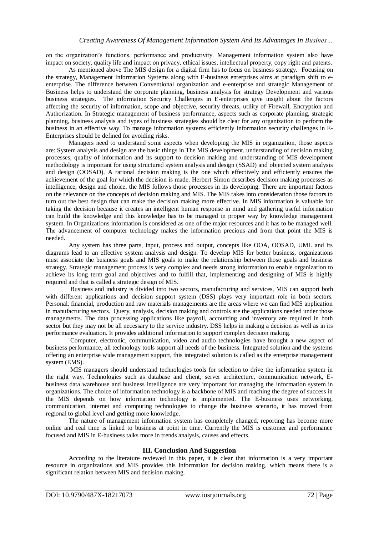on the organization"s functions, performance and productivity. Management information system also have impact on society, quality life and impact on privacy, ethical issues, intellectual property, copy right and patents.

As mentioned above The MIS design for a digital firm has to focus on business strategy. Focusing on the strategy, Management Information Systems along with E-business enterprises aims at paradigm shift to eenterprise. The difference between Conventional organization and e-enterprise and strategic Management of Business helps to understand the corporate planning, business analysis for strategy Development and various business strategies. The information Security Challenges in E-enterprises give insight about the factors affecting the security of information, scope and objective, security threats, utility of Firewall, Encryption and Authorization. In Strategic management of business performance, aspects such as corporate planning, strategic planning, business analysis and types of business strategies should be clear for any organization to perform the business in an effective way. To manage information systems efficiently Information security challenges in E-Enterprises should be defined for avoiding risks.

Managers need to understand some aspects when developing the MIS in organization, those aspects are: System analysis and design are the basic things in The MIS development, understanding of decision making processes, quality of information and its support to decision making and understanding of MIS development methodology is important for using structured system analysis and design (SSAD) and objected system analysis and design (OOSAD). A rational decision making is the one which effectively and efficiently ensures the achievement of the goal for which the decision is made. Herbert Simon describes decision making processes as intelligence, design and choice, the MIS follows those processes in its developing. There are important factors on the relevance on the concepts of decision making and MIS. The MIS takes into consideration those factors to turn out the best design that can make the decision making more effective. In MIS information is valuable for taking the decision because it creates an intelligent human response in mind and gathering useful information can build the knowledge and this knowledge has to be managed in proper way by knowledge management system. In Organizations information is considered as one of the major resources and it has to be managed well. The advancement of computer technology makes the information precious and from that point the MIS is needed.

Any system has three parts, input, process and output, concepts like OOA, OOSAD, UML and its diagrams lead to an effective system analysis and design. To develop MIS for better business, organizations must associate the business goals and MIS goals to make the relationship between those goals and business strategy. Strategic management process is very complex and needs strong information to enable organization to achieve its long term goal and objectives and to fulfill that, implementing and designing of MIS is highly required and that is called a strategic design of MIS.

Business and industry is divided into two sectors, manufacturing and services, MIS can support both with different applications and decision support system (DSS) plays very important role in both sectors. Personal, financial, production and raw materials managements are the areas where we can find MIS application in manufacturing sectors. Query, analysis, decision making and controls are the applications needed under those managements. The data processing applications like payroll, accounting and inventory are required in both sector but they may not be all necessary to the service industry. DSS helps in making a decision as well as in its performance evaluation. It provides additional information to support complex decision making.

Computer, electronic, communication, video and audio technologies have brought a new aspect of business performance, all technology tools support all needs of the business. Integrated solution and the systems offering an enterprise wide management support, this integrated solution is called as the enterprise management system (EMS).

MIS managers should understand technologies tools for selection to drive the information system in the right way. Technologies such as database and client, server architecture, communication network, Ebusiness data warehouse and business intelligence are very important for managing the information system in organizations. The choice of information technology is a backbone of MIS and reaching the degree of success in the MIS depends on how information technology is implemented. The E-business uses networking, communication, internet and computing technologies to change the business scenario, it has moved from regional to global level and getting more knowledge.

The nature of management information system has completely changed, reporting has become more online and real time is linked to business at point in time. Currently the MIS is customer and performance focused and MIS in E-business talks more in trends analysis, causes and effects.

### **III. Conclusion And Suggestion**

According to the literature reviewed in this paper, it is clear that information is a very important resource in organizations and MIS provides this information for decision making, which means there is a significant relation between MIS and decision making.